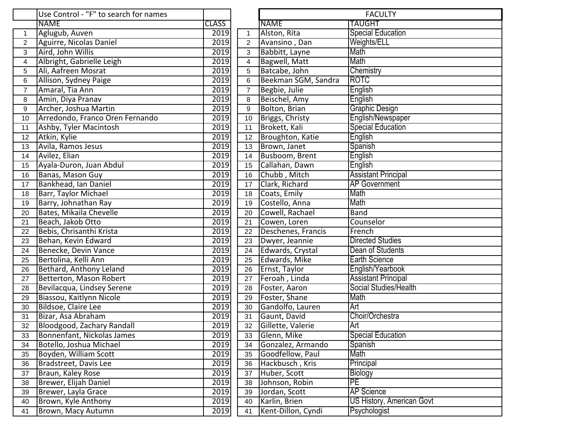|                | Use Control - "F" to search for names |                   |                |                      | <b>FACULTY</b>             |
|----------------|---------------------------------------|-------------------|----------------|----------------------|----------------------------|
|                | <b>NAME</b>                           | <b>CLASS</b>      |                | <b>NAME</b>          | TAUGHT                     |
| $\mathbf{1}$   | Aglugub, Auven                        | 2019              | $\mathbf 1$    | Alston, Rita         | <b>Special Education</b>   |
| $\overline{2}$ | Aguirre, Nicolas Daniel               | 2019              | $\overline{2}$ | Avansino, Dan        | Weights/ELL                |
| 3              | Aird, John Willis                     | 2019              | 3              | Babbitt, Layne       | Math                       |
| 4              | Albright, Gabrielle Leigh             | 2019              | 4              | Bagwell, Matt        | Math                       |
| 5              | Ali, Aafreen Mosrat                   | 2019              | 5              | Batcabe, John        | Chemistry                  |
| 6              | Allison, Sydney Paige                 | 2019              | 6              | Beekman SGM, Sandra  | <b>ROTC</b>                |
| $\overline{7}$ | Amaral, Tia Ann                       | 2019              | $\overline{7}$ | Begbie, Julie        | English                    |
| 8              | Amin, Diya Pranav                     | 2019              | 8              | Beischel, Amy        | English                    |
| 9              | Archer, Joshua Martin                 | 2019              | 9              | <b>Bolton, Brian</b> | Graphic Design             |
| 10             | Arredondo, Franco Oren Fernando       | 2019              | 10             | Briggs, Christy      | English/Newspaper          |
| 11             | Ashby, Tyler Macintosh                | 2019              | 11             | Brokett, Kali        | <b>Special Education</b>   |
| 12             | Atkin, Kylie                          | 2019              | 12             | Broughton, Katie     | English                    |
| 13             | Avila, Ramos Jesus                    | 2019              | 13             | Brown, Janet         | <b>Spanish</b>             |
| 14             | Avilez, Elian                         | 2019              | 14             | Busboom, Brent       | English                    |
| 15             | Ayala-Duron, Juan Abdul               | 2019              | 15             | Callahan, Dawn       | English                    |
| 16             | Banas, Mason Guy                      | 2019              | 16             | Chubb, Mitch         | <b>Assistant Principal</b> |
| 17             | Bankhead, Ian Daniel                  | 2019              | 17             | Clark, Richard       | <b>AP Government</b>       |
| 18             | Barr, Taylor Michael                  | 2019              | 18             | Coats, Emily         | Math                       |
| 19             | Barry, Johnathan Ray                  | 2019              | 19             | Costello, Anna       | Math                       |
| 20             | Bates, Mikaila Chevelle               | 2019              | 20             | Cowell, Rachael      | <b>Band</b>                |
| 21             | Beach, Jakob Otto                     | $\overline{20}19$ | 21             | Cowen, Loren         | Counselor                  |
| 22             | Bebis, Chrisanthi Krista              | 2019              | 22             | Deschenes, Francis   | French                     |
| 23             | Behan, Kevin Edward                   | 2019              | 23             | Dwyer, Jeannie       | <b>Directed Studies</b>    |
| 24             | Benecke, Devin Vance                  | 2019              | 24             | Edwards, Crystal     | Dean of Students           |
| 25             | Bertolina, Kelli Ann                  | 2019              | 25             | Edwards, Mike        | <b>Earth Science</b>       |
| 26             | Bethard, Anthony Leland               | 2019              | 26             | Ernst, Taylor        | English/Yearbook           |
| 27             | Betterton, Mason Robert               | 2019              | 27             | Feroah, Linda        | <b>Assistant Principal</b> |
| 28             | Bevilacqua, Lindsey Serene            | 2019              | 28             | Foster, Aaron        | Social Studies/Health      |
| 29             | Biassou, Kaitlynn Nicole              | 2019              | 29             | Foster, Shane        | Math                       |
| 30             | Bildsoe, Claire Lee                   | 2019              | 30             | Gandolfo, Lauren     | Art                        |
| 31             | Bizar, Asa Abraham                    | 2019              | 31             | Gaunt, David         | Choir/Orchestra            |
| 32             | Bloodgood, Zachary Randall            | 2019              | 32             | Gillette, Valerie    | Art                        |
| 33             | Bonnenfant, Nickolas James            | 2019              | 33             | Glenn, Mike          | <b>Special Education</b>   |
| 34             | Botello, Joshua Michael               | 2019              | 34             | Gonzalez, Armando    | Spanish                    |
| 35             | Boyden, William Scott                 | 2019              | 35             | Goodfellow, Paul     | Math                       |
| 36             | Bradstreet, Davis Lee                 | 2019              | 36             | Hackbusch, Kris      | Principal                  |
| 37             | Braun, Kaley Rose                     | 2019              | 37             | Huber, Scott         | Biology                    |
| 38             | Brewer, Elijah Daniel                 | 2019              | 38             | Johnson, Robin       | PE                         |
| 39             | Brewer, Layla Grace                   | 2019              | 39             | Jordan, Scott        | <b>AP Science</b>          |
| 40             | Brown, Kyle Anthony                   | 2019              | 40             | Karlin, Brien        | US History, American Govt  |
| 41             | Brown, Macy Autumn                    | 2019              | 41             | Kent-Dillon, Cyndi   | Psychologist               |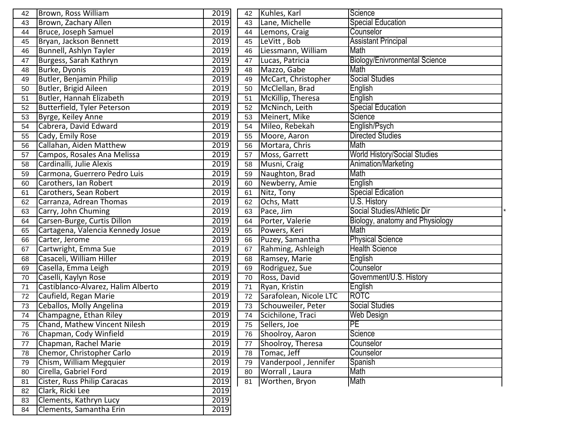| 42 | Brown, Ross William                | 2019 | 42 | Kuhles, Karl           | Science                              |
|----|------------------------------------|------|----|------------------------|--------------------------------------|
| 43 | Brown, Zachary Allen               | 2019 | 43 | Lane, Michelle         | <b>Special Education</b>             |
| 44 | Bruce, Joseph Samuel               | 2019 | 44 | Lemons, Craig          | Counselor                            |
| 45 | Bryan, Jackson Bennett             | 2019 | 45 | LeVitt, Bob            | <b>Assistant Principal</b>           |
| 46 | <b>Bunnell, Ashlyn Tayler</b>      | 2019 | 46 | Liessmann, William     | Math                                 |
| 47 | Burgess, Sarah Kathryn             | 2019 | 47 | Lucas, Patricia        | <b>Biology/Enivronmental Science</b> |
| 48 | Burke, Dyonis                      | 2019 | 48 | Mazzo, Gabe            | Math                                 |
| 49 | Butler, Benjamin Philip            | 2019 | 49 | McCart, Christopher    | <b>Social Studies</b>                |
| 50 | Butler, Brigid Aileen              | 2019 | 50 | McClellan, Brad        | English                              |
| 51 | Butler, Hannah Elizabeth           | 2019 | 51 | McKillip, Theresa      | English                              |
| 52 | Butterfield, Tyler Peterson        | 2019 | 52 | McNinch, Leith         | <b>Special Education</b>             |
| 53 | Byrge, Keiley Anne                 | 2019 | 53 | Meinert, Mike          | Science                              |
| 54 | Cabrera, David Edward              | 2019 | 54 | Mileo, Rebekah         | English/Psych                        |
| 55 | Cady, Emily Rose                   | 2019 | 55 | Moore, Aaron           | <b>Directed Studies</b>              |
| 56 | Callahan, Aiden Matthew            | 2019 | 56 | Mortara, Chris         | Math                                 |
| 57 | Campos, Rosales Ana Melissa        | 2019 | 57 | Moss, Garrett          | <b>World History/Social Studies</b>  |
| 58 | Cardinalli, Julie Alexis           | 2019 | 58 | Musni, Craig           | Animation/Marketing                  |
| 59 | Carmona, Guerrero Pedro Luis       | 2019 | 59 | Naughton, Brad         | Math                                 |
| 60 | Carothers, Ian Robert              | 2019 | 60 | Newberry, Amie         | English                              |
| 61 | Carothers, Sean Robert             | 2019 | 61 | Nitz, Tony             | <b>Special Edication</b>             |
| 62 | Carranza, Adrean Thomas            | 2019 | 62 | Ochs, Matt             | U.S. History                         |
| 63 | Carry, John Chuming                | 2019 | 63 | Pace, Jim              | Social Studies/Athletic Dir          |
| 64 | Carsen-Burge, Curtis Dillon        | 2019 | 64 | Porter, Valerie        | Biology, anatomy and Physiology      |
| 65 | Cartagena, Valencia Kennedy Josue  | 2019 | 65 | Powers, Keri           | Math                                 |
| 66 | Carter, Jerome                     | 2019 | 66 | Puzey, Samantha        | <b>Physical Science</b>              |
| 67 | Cartwright, Emma Sue               | 2019 | 67 | Rahming, Ashleigh      | <b>Health Science</b>                |
| 68 | Casaceli, William Hiller           | 2019 | 68 | Ramsey, Marie          | English                              |
| 69 | Casella, Emma Leigh                | 2019 | 69 | Rodriguez, Sue         | Counselor                            |
| 70 | Caselli, Kaylyn Rose               | 2019 | 70 | Ross, David            | Government/U.S. History              |
| 71 | Castiblanco-Alvarez, Halim Alberto | 2019 | 71 | Ryan, Kristin          | English                              |
| 72 | Caufield, Regan Marie              | 2019 | 72 | Sarafolean, Nicole LTC | <b>ROTC</b>                          |
| 73 | Ceballos, Molly Angelina           | 2019 | 73 | Schouweiler, Peter     | <b>Social Studies</b>                |
| 74 | Champagne, Ethan Riley             | 2019 | 74 | Scichilone, Traci      | <b>Web Design</b>                    |
| 75 | Chand, Mathew Vincent Nilesh       | 2019 | 75 | Sellers, Joe           | <b>IPE</b>                           |
| 76 | Chapman, Cody Winfield             | 2019 | 76 | Shoolroy, Aaron        | Science                              |
| 77 | Chapman, Rachel Marie              | 2019 | 77 | Shoolroy, Theresa      | Counselor                            |
| 78 | Chemor, Christopher Carlo          | 2019 | 78 | Tomac, Jeff            | Counselor                            |
| 79 | Chism, William Megquier            | 2019 | 79 | Vanderpool, Jennifer   | Spanish                              |
| 80 | Cirella, Gabriel Ford              | 2019 | 80 | Worrall, Laura         | Math                                 |
| 81 | Cister, Russ Philip Caracas        | 2019 | 81 | Worthen, Bryon         | Math                                 |
| 82 | Clark, Ricki Lee                   | 2019 |    |                        |                                      |
| 83 | Clements, Kathryn Lucy             | 2019 |    |                        |                                      |
| 84 | Clements, Samantha Erin            | 2019 |    |                        |                                      |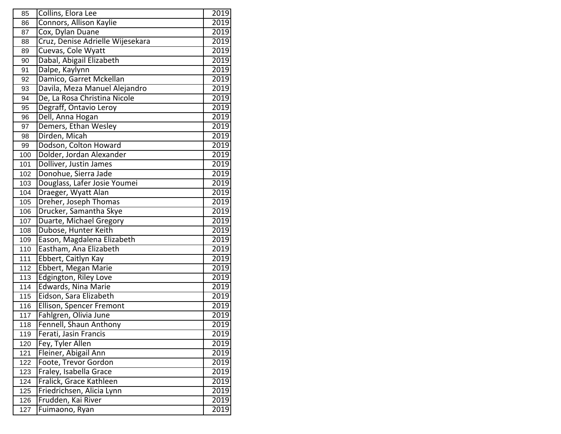| 85  | Collins, Elora Lee               | 2019 |
|-----|----------------------------------|------|
| 86  | Connors, Allison Kaylie          | 2019 |
| 87  | Cox, Dylan Duane                 | 2019 |
| 88  | Cruz, Denise Adrielle Wijesekara | 2019 |
| 89  | Cuevas, Cole Wyatt               | 2019 |
| 90  | Dabal, Abigail Elizabeth         | 2019 |
| 91  | Dalpe, Kaylynn                   | 2019 |
| 92  | Damico, Garret Mckellan          | 2019 |
| 93  | Davila, Meza Manuel Alejandro    | 2019 |
| 94  | De, La Rosa Christina Nicole     | 2019 |
| 95  | Degraff, Ontavio Leroy           | 2019 |
| 96  | Dell, Anna Hogan                 | 2019 |
| 97  | Demers, Ethan Wesley             | 2019 |
| 98  | Dirden, Micah                    | 2019 |
| 99  | Dodson, Colton Howard            | 2019 |
| 100 | Dolder, Jordan Alexander         | 2019 |
| 101 | Dolliver, Justin James           | 2019 |
| 102 | Donohue, Sierra Jade             | 2019 |
| 103 | Douglass, Lafer Josie Youmei     | 2019 |
| 104 | Draeger, Wyatt Alan              | 2019 |
| 105 | Dreher, Joseph Thomas            | 2019 |
| 106 | Drucker, Samantha Skye           | 2019 |
| 107 | Duarte, Michael Gregory          | 2019 |
| 108 | Dubose, Hunter Keith             | 2019 |
| 109 | Eason, Magdalena Elizabeth       | 2019 |
| 110 | Eastham, Ana Elizabeth           | 2019 |
| 111 | Ebbert, Caitlyn Kay              | 2019 |
| 112 | Ebbert, Megan Marie              | 2019 |
| 113 | Edgington, Riley Love            | 2019 |
| 114 | <b>Edwards, Nina Marie</b>       | 2019 |
| 115 | Eidson, Sara Elizabeth           | 2019 |
| 116 | Ellison, Spencer Fremont         | 2019 |
| 117 | Fahlgren, Olivia June            | 2019 |
| 118 | Fennell, Shaun Anthony           | 2019 |
| 119 | Ferati, Jasin Francis            | 2019 |
| 120 | Fey, Tyler Allen                 | 2019 |
| 121 | Fleiner, Abigail Ann             | 2019 |
| 122 | Foote, Trevor Gordon             | 2019 |
| 123 | Fraley, Isabella Grace           | 2019 |
| 124 | Fralick, Grace Kathleen          | 2019 |
| 125 | Friedrichsen, Alicia Lynn        | 2019 |
| 126 | Frudden, Kai River               | 2019 |
| 127 | Fuimaono, Ryan                   | 2019 |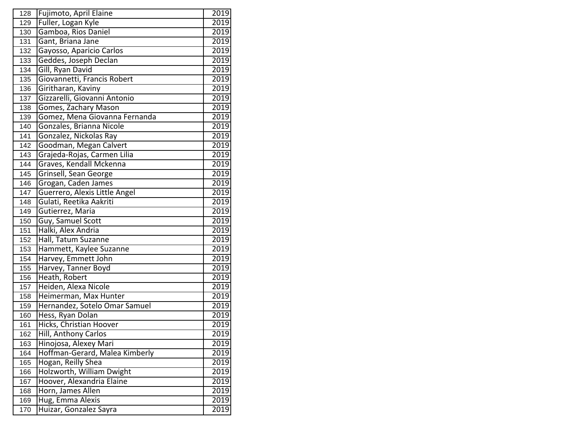| 128 | Fujimoto, April Elaine         | 2019              |
|-----|--------------------------------|-------------------|
| 129 | Fuller, Logan Kyle             | 2019              |
| 130 | Gamboa, Rios Daniel            | $\overline{20}19$ |
| 131 | Gant, Briana Jane              | 2019              |
| 132 | Gayosso, Aparicio Carlos       | 2019              |
| 133 | Geddes, Joseph Declan          | 2019              |
| 134 | Gill, Ryan David               | 2019              |
| 135 | Giovannetti, Francis Robert    | 2019              |
| 136 | Giritharan, Kaviny             | 2019              |
| 137 | Gizzarelli, Giovanni Antonio   | 2019              |
| 138 | Gomes, Zachary Mason           | 2019              |
| 139 | Gomez, Mena Giovanna Fernanda  | 2019              |
| 140 | Gonzales, Brianna Nicole       | 2019              |
| 141 | Gonzalez, Nickolas Ray         | 2019              |
| 142 | Goodman, Megan Calvert         | 2019              |
| 143 | Grajeda-Rojas, Carmen Lilia    | 2019              |
| 144 | Graves, Kendall Mckenna        | 2019              |
| 145 | Grinsell, Sean George          | 2019              |
| 146 | Grogan, Caden James            | 2019              |
| 147 | Guerrero, Alexis Little Angel  | 2019              |
| 148 | Gulati, Reetika Aakriti        | 2019              |
| 149 | Gutierrez, Maria               | 2019              |
| 150 | Guy, Samuel Scott              | 2019              |
| 151 | Halki, Alex Andria             | 2019              |
| 152 | Hall, Tatum Suzanne            | 2019              |
| 153 | Hammett, Kaylee Suzanne        | 2019              |
| 154 | Harvey, Emmett John            | 2019              |
| 155 | Harvey, Tanner Boyd            | 2019              |
| 156 | Heath, Robert                  | 2019              |
| 157 | Heiden, Alexa Nicole           | 2019              |
| 158 | Heimerman, Max Hunter          | 2019              |
| 159 | Hernandez, Sotelo Omar Samuel  | 2019              |
| 160 | Hess, Ryan Dolan               | 2019              |
| 161 | Hicks, Christian Hoover        | 2019              |
| 162 | Hill, Anthony Carlos           | 2019              |
| 163 | Hinojosa, Alexey Mari          | 2019              |
| 164 | Hoffman-Gerard, Malea Kimberly | 2019              |
| 165 | Hogan, Reilly Shea             | 2019              |
| 166 | Holzworth, William Dwight      | 2019              |
| 167 | Hoover, Alexandria Elaine      | 2019              |
| 168 | Horn, James Allen              | 2019              |
| 169 | Hug, Emma Alexis               | 2019              |
| 170 | Huizar, Gonzalez Sayra         | 2019              |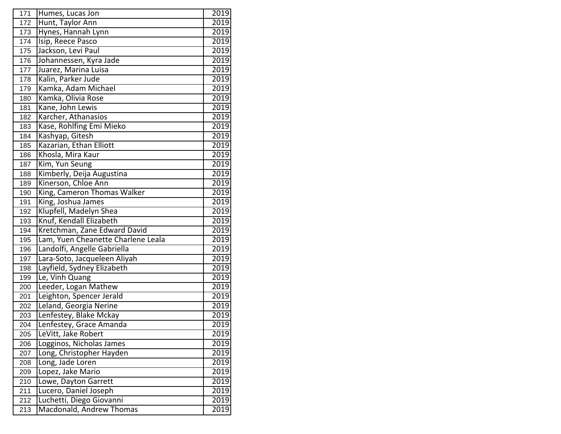| 171 | Humes, Lucas Jon                   | 2019              |
|-----|------------------------------------|-------------------|
| 172 | Hunt, Taylor Ann                   | 2019              |
| 173 | Hynes, Hannah Lynn                 | 2019              |
| 174 | Isip, Reece Pasco                  | 2019              |
| 175 | Jackson, Levi Paul                 | 2019              |
| 176 | Johannessen, Kyra Jade             | 2019              |
| 177 | Juarez, Marina Luisa               | 2019              |
| 178 | Kalin, Parker Jude                 | 2019              |
| 179 | Kamka, Adam Michael                | 2019              |
| 180 | Kamka, Olivia Rose                 | 2019              |
| 181 | Kane, John Lewis                   | 2019              |
| 182 | Karcher, Athanasios                | 2019              |
| 183 | Kase, Rohlfing Emi Mieko           | 2019              |
| 184 | Kashyap, Gitesh                    | 2019              |
| 185 | Kazarian, Ethan Elliott            | 2019              |
| 186 | Khosla, Mira Kaur                  | 2019              |
| 187 | Kim, Yun Seung                     | 2019              |
| 188 | Kimberly, Deija Augustina          | 2019              |
| 189 | Kinerson, Chloe Ann                | 2019              |
| 190 | King, Cameron Thomas Walker        | 2019              |
| 191 | King, Joshua James                 | 2019              |
| 192 | Klupfell, Madelyn Shea             | 2019              |
| 193 | Knuf, Kendall Elizabeth            | 2019              |
| 194 | Kretchman, Zane Edward David       | 2019              |
| 195 | Lam, Yuen Cheanette Charlene Leala | 2019              |
| 196 | Landolfi, Angelle Gabriella        | 2019              |
| 197 | Lara-Soto, Jacqueleen Aliyah       | 2019              |
| 198 | Layfield, Sydney Elizabeth         | 2019              |
| 199 | Le, Vinh Quang                     | 2019              |
| 200 | Leeder, Logan Mathew               | 2019              |
| 201 | Leighton, Spencer Jerald           | 2019              |
| 202 | Leland, Georgia Nerine             | 2019              |
| 203 | Lenfestey, Blake Mckay             | 2019              |
| 204 | Lenfestey, Grace Amanda            | 2019              |
| 205 | LeVitt, Jake Robert                | 2019              |
| 206 | Logginos, Nicholas James           | 2019              |
| 207 | Long, Christopher Hayden           | $\overline{20}19$ |
| 208 | Long, Jade Loren                   | 2019              |
| 209 | Lopez, Jake Mario                  | 2019              |
| 210 | Lowe, Dayton Garrett               | 2019              |
| 211 | Lucero, Daniel Joseph              | 2019              |
| 212 | Luchetti, Diego Giovanni           | 2019              |
| 213 | Macdonald, Andrew Thomas           | 2019              |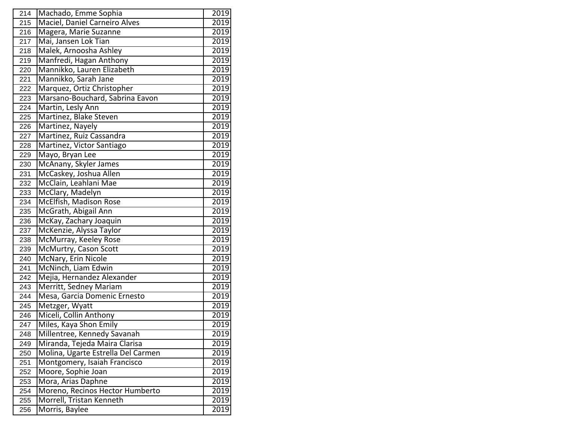| 214 | Machado, Emme Sophia               | 2019 |
|-----|------------------------------------|------|
| 215 | Maciel, Daniel Carneiro Alves      | 2019 |
| 216 | Magera, Marie Suzanne              | 2019 |
| 217 | Mai, Jansen Lok Tian               | 2019 |
| 218 | Malek, Arnoosha Ashley             | 2019 |
| 219 | Manfredi, Hagan Anthony            | 2019 |
| 220 | Mannikko, Lauren Elizabeth         | 2019 |
| 221 | Mannikko, Sarah Jane               | 2019 |
| 222 | Marquez, Ortiz Christopher         | 2019 |
| 223 | Marsano-Bouchard, Sabrina Eavon    | 2019 |
| 224 | Martin, Lesly Ann                  | 2019 |
| 225 | Martinez, Blake Steven             | 2019 |
| 226 | Martinez, Nayely                   | 2019 |
| 227 | Martinez, Ruiz Cassandra           | 2019 |
| 228 | Martinez, Victor Santiago          | 2019 |
| 229 | Mayo, Bryan Lee                    | 2019 |
| 230 | McAnany, Skyler James              | 2019 |
| 231 | McCaskey, Joshua Allen             | 2019 |
| 232 | McClain, Leahlani Mae              | 2019 |
| 233 | McClary, Madelyn                   | 2019 |
| 234 | McElfish, Madison Rose             | 2019 |
| 235 | McGrath, Abigail Ann               | 2019 |
| 236 | McKay, Zachary Joaquin             | 2019 |
| 237 | McKenzie, Alyssa Taylor            | 2019 |
| 238 | McMurray, Keeley Rose              | 2019 |
| 239 | McMurtry, Cason Scott              | 2019 |
| 240 | McNary, Erin Nicole                | 2019 |
| 241 | McNinch, Liam Edwin                | 2019 |
| 242 | Mejia, Hernandez Alexander         | 2019 |
| 243 | Merritt, Sedney Mariam             | 2019 |
| 244 | Mesa, Garcia Domenic Ernesto       | 2019 |
| 245 | Metzger, Wyatt                     | 2019 |
| 246 | Miceli, Collin Anthony             | 2019 |
| 247 | Miles, Kaya Shon Emily             | 2019 |
| 248 | Millentree, Kennedy Savanah        | 2019 |
| 249 | Miranda, Tejeda Maira Clarisa      | 2019 |
| 250 | Molina, Ugarte Estrella Del Carmen | 2019 |
| 251 | Montgomery, Isaiah Francisco       | 2019 |
| 252 | Moore, Sophie Joan                 | 2019 |
| 253 | Mora, Arias Daphne                 | 2019 |
| 254 | Moreno, Recinos Hector Humberto    | 2019 |
| 255 | Morrell, Tristan Kenneth           | 2019 |
| 256 | Morris, Baylee                     | 2019 |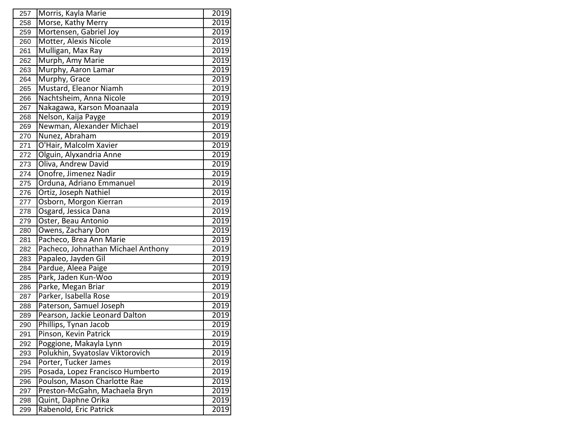| 257 | Morris, Kayla Marie                | 2019 |
|-----|------------------------------------|------|
| 258 | Morse, Kathy Merry                 | 2019 |
| 259 | Mortensen, Gabriel Joy             | 2019 |
| 260 | Motter, Alexis Nicole              | 2019 |
| 261 | Mulligan, Max Ray                  | 2019 |
| 262 | Murph, Amy Marie                   | 2019 |
| 263 | Murphy, Aaron Lamar                | 2019 |
| 264 | Murphy, Grace                      | 2019 |
| 265 | Mustard, Eleanor Niamh             | 2019 |
| 266 | Nachtsheim, Anna Nicole            | 2019 |
| 267 | Nakagawa, Karson Moanaala          | 2019 |
| 268 | Nelson, Kaija Payge                | 2019 |
| 269 | Newman, Alexander Michael          | 2019 |
| 270 | Nunez, Abraham                     | 2019 |
| 271 | O'Hair, Malcolm Xavier             | 2019 |
| 272 | Olguin, Alyxandria Anne            | 2019 |
| 273 | Oliva, Andrew David                | 2019 |
| 274 | Onofre, Jimenez Nadir              | 2019 |
| 275 | Orduna, Adriano Emmanuel           | 2019 |
| 276 | Ortiz, Joseph Nathiel              | 2019 |
| 277 | Osborn, Morgon Kierran             | 2019 |
| 278 | Osgard, Jessica Dana               | 2019 |
| 279 | Oster, Beau Antonio                | 2019 |
| 280 | Owens, Zachary Don                 | 2019 |
| 281 | Pacheco, Brea Ann Marie            | 2019 |
| 282 | Pacheco, Johnathan Michael Anthony | 2019 |
| 283 | Papaleo, Jayden Gil                | 2019 |
| 284 | Pardue, Aleea Paige                | 2019 |
| 285 | Park, Jaden Kun-Woo                | 2019 |
| 286 | Parke, Megan Briar                 | 2019 |
| 287 | Parker, Isabella Rose              | 2019 |
| 288 | Paterson, Samuel Joseph            | 2019 |
| 289 | Pearson, Jackie Leonard Dalton     | 2019 |
| 290 | Phillips, Tynan Jacob              | 2019 |
| 291 | Pinson, Kevin Patrick              | 2019 |
| 292 | Poggione, Makayla Lynn             | 2019 |
| 293 | Polukhin, Svyatoslav Viktorovich   | 2019 |
| 294 | Porter, Tucker James               | 2019 |
| 295 | Posada, Lopez Francisco Humberto   | 2019 |
| 296 | Poulson, Mason Charlotte Rae       | 2019 |
| 297 | Preston-McGahn, Machaela Bryn      | 2019 |
| 298 | Quint, Daphne Orika                | 2019 |
| 299 | Rabenold, Eric Patrick             | 2019 |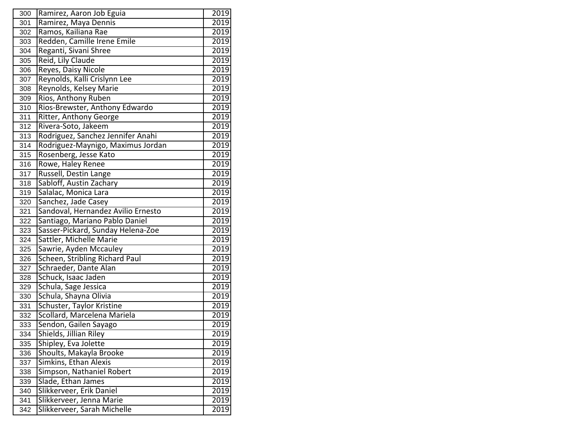| 300 | Ramirez, Aaron Job Eguia              | 2019 |
|-----|---------------------------------------|------|
| 301 | Ramirez, Maya Dennis                  | 2019 |
| 302 | Ramos, Kailiana Rae                   | 2019 |
| 303 | Redden, Camille Irene Emile           | 2019 |
| 304 | Reganti, Sivani Shree                 | 2019 |
| 305 | Reid, Lily Claude                     | 2019 |
| 306 | Reyes, Daisy Nicole                   | 2019 |
| 307 | Reynolds, Kalli Crislynn Lee          | 2019 |
| 308 | Reynolds, Kelsey Marie                | 2019 |
| 309 | Rios, Anthony Ruben                   | 2019 |
| 310 | Rios-Brewster, Anthony Edwardo        | 2019 |
| 311 | <b>Ritter, Anthony George</b>         | 2019 |
| 312 | Rivera-Soto, Jakeem                   | 2019 |
| 313 | Rodriguez, Sanchez Jennifer Anahi     | 2019 |
| 314 | Rodriguez-Maynigo, Maximus Jordan     | 2019 |
| 315 | Rosenberg, Jesse Kato                 | 2019 |
| 316 | Rowe, Haley Renee                     | 2019 |
| 317 | Russell, Destin Lange                 | 2019 |
| 318 | Sabloff, Austin Zachary               | 2019 |
| 319 | Salalac, Monica Lara                  | 2019 |
| 320 | Sanchez, Jade Casey                   | 2019 |
| 321 | Sandoval, Hernandez Avilio Ernesto    | 2019 |
| 322 | Santiago, Mariano Pablo Daniel        | 2019 |
| 323 | Sasser-Pickard, Sunday Helena-Zoe     | 2019 |
| 324 | Sattler, Michelle Marie               | 2019 |
| 325 | Sawrie, Ayden Mccauley                | 2019 |
| 326 | <b>Scheen, Stribling Richard Paul</b> | 2019 |
| 327 | Schraeder, Dante Alan                 | 2019 |
| 328 | Schuck, Isaac Jaden                   | 2019 |
| 329 | Schula, Sage Jessica                  | 2019 |
| 330 | Schula, Shayna Olivia                 | 2019 |
| 331 | Schuster, Taylor Kristine             | 2019 |
| 332 | Scollard, Marcelena Mariela           | 2019 |
| 333 | Sendon, Gailen Sayago                 | 2019 |
| 334 | Shields, Jillian Riley                | 2019 |
| 335 | Shipley, Eva Jolette                  | 2019 |
| 336 | Shoults, Makayla Brooke               | 2019 |
| 337 | Simkins, Ethan Alexis                 | 2019 |
| 338 | Simpson, Nathaniel Robert             | 2019 |
| 339 | Slade, Ethan James                    | 2019 |
| 340 | Slikkerveer, Erik Daniel              | 2019 |
| 341 | Slikkerveer, Jenna Marie              | 2019 |
| 342 | Slikkerveer, Sarah Michelle           | 2019 |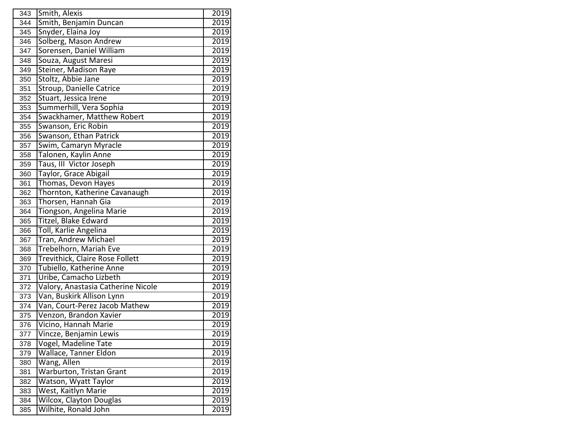| 343 | Smith, Alexis                      | 2019              |
|-----|------------------------------------|-------------------|
| 344 | Smith, Benjamin Duncan             | 2019              |
| 345 | Snyder, Elaina Joy                 | $\overline{20}19$ |
| 346 | Solberg, Mason Andrew              | 2019              |
| 347 | Sorensen, Daniel William           | 2019              |
| 348 | Souza, August Maresi               | 2019              |
| 349 | Steiner, Madison Raye              | 2019              |
| 350 | Stoltz, Abbie Jane                 | 2019              |
| 351 | Stroup, Danielle Catrice           | $\overline{20}19$ |
| 352 | Stuart, Jessica Irene              | 2019              |
| 353 | Summerhill, Vera Sophia            | 2019              |
| 354 | Swackhamer, Matthew Robert         | 2019              |
| 355 | Swanson, Eric Robin                | 2019              |
| 356 | Swanson, Ethan Patrick             | 2019              |
| 357 | Swim, Camaryn Myracle              | 2019              |
| 358 | Talonen, Kaylin Anne               | 2019              |
| 359 | Taus, III Victor Joseph            | 2019              |
| 360 | Taylor, Grace Abigail              | 2019              |
| 361 | Thomas, Devon Hayes                | 2019              |
| 362 | Thornton, Katherine Cavanaugh      | 2019              |
| 363 | Thorsen, Hannah Gia                | 2019              |
| 364 | Tiongson, Angelina Marie           | 2019              |
| 365 | Titzel, Blake Edward               | 2019              |
| 366 | Toll, Karlie Angelina              | 2019              |
| 367 | Tran, Andrew Michael               | 2019              |
| 368 | Trebelhorn, Mariah Eve             | 2019              |
| 369 | Trevithick, Claire Rose Follett    | 2019              |
| 370 | Tubiello, Katherine Anne           | 2019              |
| 371 | Uribe, Camacho Lizbeth             | 2019              |
| 372 | Valory, Anastasia Catherine Nicole | 2019              |
| 373 | Van, Buskirk Allison Lynn          | 2019              |
| 374 | Van, Court-Perez Jacob Mathew      | 2019              |
| 375 | Venzon, Brandon Xavier             | 2019              |
| 376 | Vicino, Hannah Marie               | 2019              |
| 377 | Vincze, Benjamin Lewis             | 2019              |
| 378 | Vogel, Madeline Tate               | 2019              |
| 379 | Wallace, Tanner Eldon              | 2019              |
| 380 | Wang, Allen                        | 2019              |
| 381 | <b>Warburton, Tristan Grant</b>    | 2019              |
| 382 | Watson, Wyatt Taylor               | 2019              |
| 383 | West, Kaitlyn Marie                | 2019              |
| 384 | Wilcox, Clayton Douglas            | 2019              |
| 385 | Wilhite, Ronald John               | 2019              |